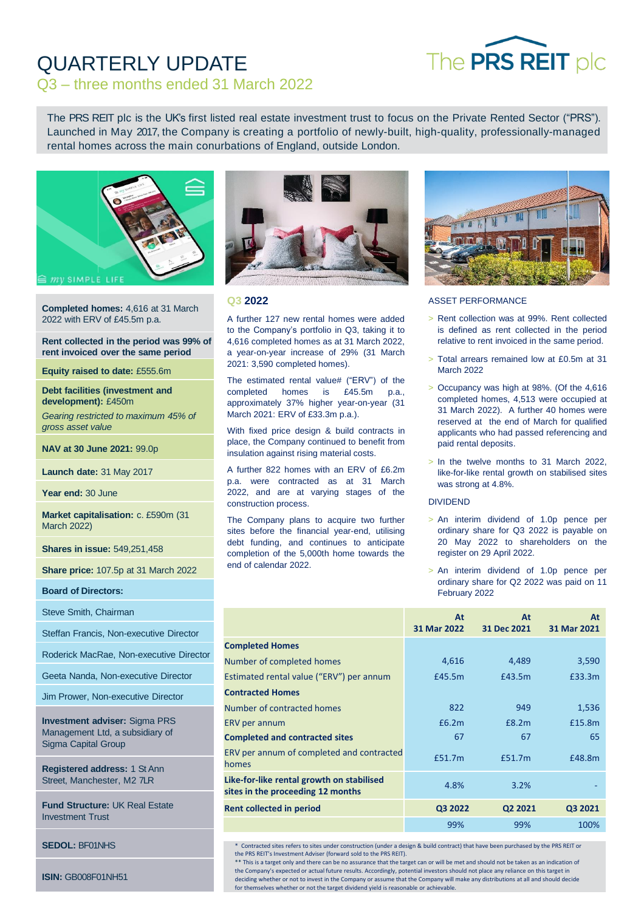# The PRS REIT plc

# QUARTERLY UPDATE Q3 – three months ended 31 March 2022

The PRS REIT plc is the UK's first listed real estate investment trust to focus on the Private Rented Sector ("PRS"). Launched in May 2017, the Company is creating a portfolio of newly-built, high-quality, professionally-managed rental homes across the main conurbations of England, outside London.



**Completed homes:** 4,616 at 31 March 2022 with ERV of £45.5m p.a.

#### **Rent collected in the period was 99% of rent invoiced over the same period**

**Equity raised to date:** £555.6m

**Debt facilities (investment and development):** £450m

*Gearing restricted to maximum 45% of gross asset value*

**NAV at 30 June 2021:** 99.0p

**Launch date:** 31 May 2017

Year end: 30 June

**Market capitalisation:** c. £590m (31 March 2022)

**Shares in issue:** 549,251,458

**Share price:** 107.5p at 31 March 2022

**Board of Directors:**

Steve Smith, Chairman

Steffan Francis, Non-executive Director

Roderick MacRae, Non-executive Director

Geeta Nanda, Non-executive Director

Jim Prower, Non-executive Director

**Investment adviser:** Sigma PRS Management Ltd, a subsidiary of Sigma Capital Group

**Registered address:** 1 St Ann Street, Manchester, M2 7LR

**Fund Structure:** UK Real Estate Investment Trust

**SEDOL:** BF01NHS

**ISIN:** GB008F01NH51



## **Q3 2022**

A further 127 new rental homes were added to the Company's portfolio in Q3, taking it to 4,616 completed homes as at 31 March 2022, a year-on-year increase of 29% (31 March 2021: 3,590 completed homes).

The estimated rental value# ("ERV") of the completed homes is £45.5m p.a., approximately 37% higher year-on-year (31 March 2021: ERV of £33.3m p.a.).

With fixed price design & build contracts in place, the Company continued to benefit from insulation against rising material costs.

A further 822 homes with an ERV of £6.2m p.a. were contracted as at 31 March 2022, and are at varying stages of the construction process.

The Company plans to acquire two further sites before the financial year-end, utilising debt funding, and continues to anticipate completion of the 5,000th home towards the end of calendar 2022.



## ASSET PERFORMANCE

- > Rent collection was at 99%. Rent collected is defined as rent collected in the period relative to rent invoiced in the same period.
- > Total arrears remained low at £0.5m at 31 March 2022
- > Occupancy was high at 98%. (Of the 4,616 completed homes, 4,513 were occupied at 31 March 2022). A further 40 homes were reserved at the end of March for qualified applicants who had passed referencing and paid rental deposits.
- > In the twelve months to 31 March 2022, like-for-like rental growth on stabilised sites was strong at 4.8%.

## DIVIDEND

- > An interim dividend of 1.0p pence per ordinary share for Q3 2022 is payable on 20 May 2022 to shareholders on the register on 29 April 2022.
- > An interim dividend of 1.0p pence per ordinary share for Q2 2022 was paid on 11 February 2022

|                                                                                | At<br>31 Mar 2022 | At<br>31 Dec 2021 | At<br>31 Mar 2021 |
|--------------------------------------------------------------------------------|-------------------|-------------------|-------------------|
| <b>Completed Homes</b>                                                         |                   |                   |                   |
| Number of completed homes                                                      | 4,616             | 4,489             | 3,590             |
| Estimated rental value ("ERV") per annum                                       | £45.5m            | £43.5m            | £33.3m            |
| <b>Contracted Homes</b>                                                        |                   |                   |                   |
| Number of contracted homes                                                     | 822               | 949               | 1,536             |
| ERV per annum                                                                  | £6.2m             | £8.2m             | £15.8m            |
| <b>Completed and contracted sites</b>                                          | 67                | 67                | 65                |
| ERV per annum of completed and contracted<br>homes                             | £51.7m            | £51.7m            | £48.8m            |
| Like-for-like rental growth on stabilised<br>sites in the proceeding 12 months | 4.8%              | 3.2%              |                   |
| <b>Rent collected in period</b>                                                | Q3 2022           | Q2 2021           | Q3 2021           |
|                                                                                | 99%               | 99%               | 100%              |

\* Contracted sites refers to sites under construction (under a design & build contract) that have been purchased by the PRS REIT or the PRS REIT's Investment Adviser (forward sold to the PRS REIT).

\*\* This is a target only and there can be no assurance that the target can or will be met and should not be taken as an indication of the Company's expected or actual future results. Accordingly, potential investors should not place any reliance on this target in deciding whether or not to invest in the Company or assume that the Company will make any distributions at all and should decide for themselves whether or not the target dividend yield is reasonable or achievable.